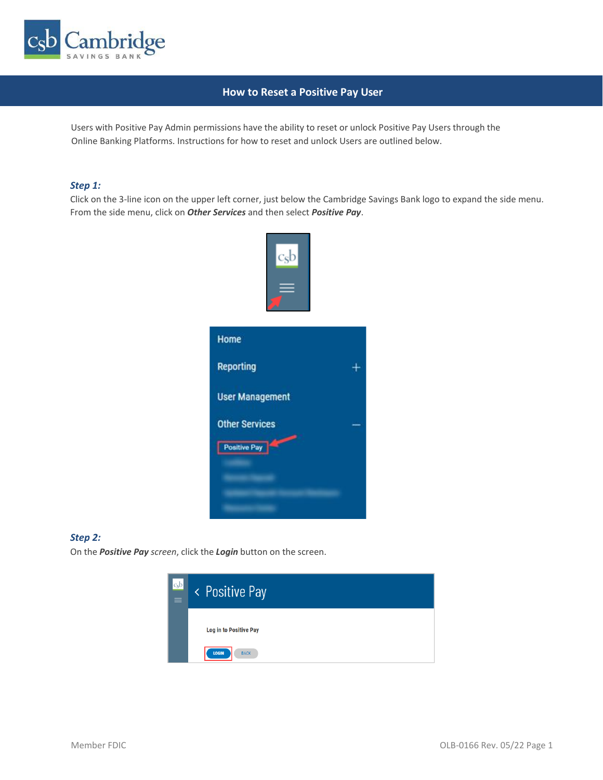

# **How to Reset a Positive Pay User**

Users with Positive Pay Admin permissions have the ability to reset or unlock Positive Pay Users through the Online Banking Platforms. Instructions for how to reset and unlock Users are outlined below.

### *Step 1:*

Click on the 3-line icon on the upper left corner, just below the Cambridge Savings Bank logo to expand the side menu. From the side menu, click on *Other Services* and then select *Positive Pay*.



#### *Step 2:*

On the *Positive Pay screen*, click the *Login* button on the screen.

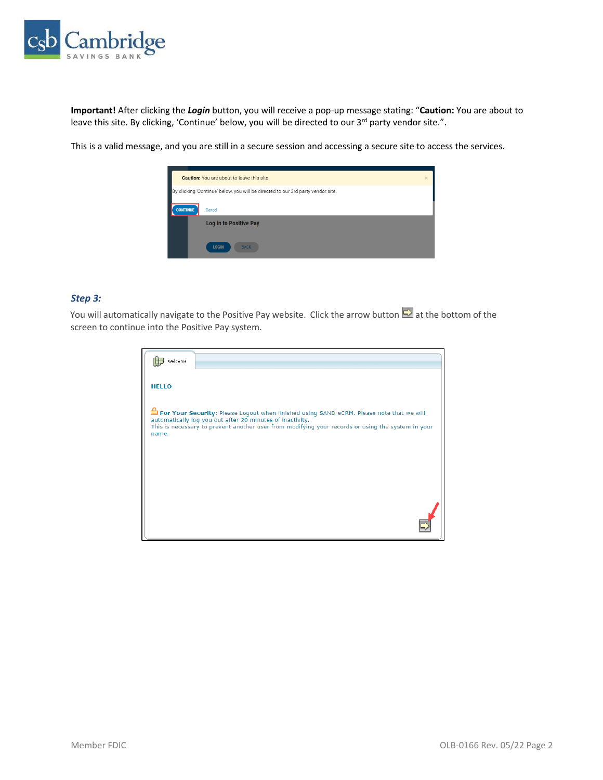

**Important!** After clicking the *Login* button, you will receive a pop-up message stating: "**Caution:** You are about to leave this site. By clicking, 'Continue' below, you will be directed to our 3rd party vendor site.".

This is a valid message, and you are still in a secure session and accessing a secure site to access the services.



### *Step 3:*

You will automatically navigate to the Positive Pay website. Click the arrow button  $\Box$  at the bottom of the screen to continue into the Positive Pay system.

| Welcome      |                                                                                                                                                                                                                                                            |
|--------------|------------------------------------------------------------------------------------------------------------------------------------------------------------------------------------------------------------------------------------------------------------|
| <b>HELLO</b> |                                                                                                                                                                                                                                                            |
| name.        | For Your Security: Please Logout when finished using SAND eCRM. Please note that we will<br>automatically log you out after 20 minutes of inactivity.<br>This is necessary to prevent another user from modifying your records or using the system in your |
|              |                                                                                                                                                                                                                                                            |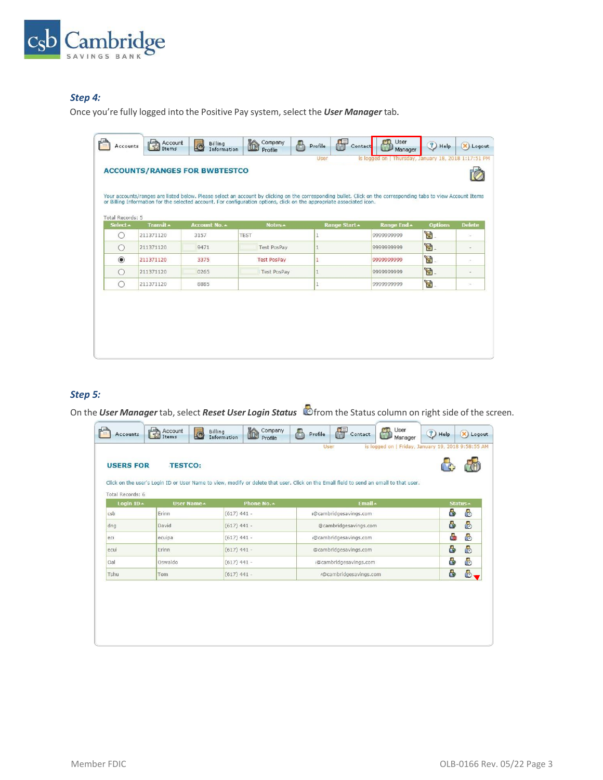

# *Step 4:*

Once you're fully logged into the Positive Pay system, select the *User Manager* tab.

| Your accounts/ranges are listed below. Please select an account by clicking on the corresponding bullet. Click on the corresponding tabs to view Account Items<br>or Billing Information for the selected account. For configuration options, click on the appropriate associated icon.<br>Total Records: 5 |           |               |                    |               |             |                |               |  |
|-------------------------------------------------------------------------------------------------------------------------------------------------------------------------------------------------------------------------------------------------------------------------------------------------------------|-----------|---------------|--------------------|---------------|-------------|----------------|---------------|--|
| Select <sup>+</sup>                                                                                                                                                                                                                                                                                         | Transit ~ | Account No. 4 | Notes A            | Range Start - | Range End ^ | <b>Options</b> | <b>Delete</b> |  |
| $\bigcap$                                                                                                                                                                                                                                                                                                   | 211371120 | 3157          | <b>TEST</b>        | $\mathbf{1}$  | 999999999   | $\mathbb{Z}$   |               |  |
| $\bigcirc$                                                                                                                                                                                                                                                                                                  | 211371120 | 9471          | <b>Test PosPav</b> | $\mathbf{1}$  | 999999999   | Ø.             |               |  |
| $\circledbullet$                                                                                                                                                                                                                                                                                            | 211371120 | 3375          | <b>Test PosPav</b> | 1             | 999999999   | Z.             | $\sim$        |  |
| ◯                                                                                                                                                                                                                                                                                                           | 211371120 | 0265          | Test PosPay        | 1             | 999999999   | P.             |               |  |
| $\bigcirc$                                                                                                                                                                                                                                                                                                  | 211371120 | 8885          |                    | 1             | 999999999   | S              | $\sim$        |  |

## *Step 5:*

On the *User Manager* tab, select *Reset User Login Status* from the Status column on right side of the screen.

| Click on the user's Login ID or User Name to view, modify or delete that user. Click on the Email field to send an email to that user.<br>Total Records: 6 |             |               |                        |                     |  |  |  |  |
|------------------------------------------------------------------------------------------------------------------------------------------------------------|-------------|---------------|------------------------|---------------------|--|--|--|--|
| Login ID-                                                                                                                                                  | User Name - | Phone No. ^   | Email ~                | Status -            |  |  |  |  |
| csb                                                                                                                                                        | Erinn       | $(617) 441 -$ | (@cambridgesavings.com | a<br>6              |  |  |  |  |
| dng                                                                                                                                                        | David       | $(617)$ 441 - | @cambridgesavings.com  | ò<br>8              |  |  |  |  |
| ecr                                                                                                                                                        | ecuipa      | $(617)$ 441 - | @cambridgesavings.com  | ٥<br>Ō              |  |  |  |  |
| ecui                                                                                                                                                       | Erinn       | $(617)$ 441 - | @cambridgesavings.com  | B<br>$\bullet$      |  |  |  |  |
| Oal                                                                                                                                                        | Oswaldo     | $(617)$ 441 - | @cambridgesavings.com  | a<br>$\ddot{\circ}$ |  |  |  |  |
| Tshu                                                                                                                                                       | Tom         | $(617)$ 441 - | @cambridgesavings.com  | B<br>$\bullet$      |  |  |  |  |